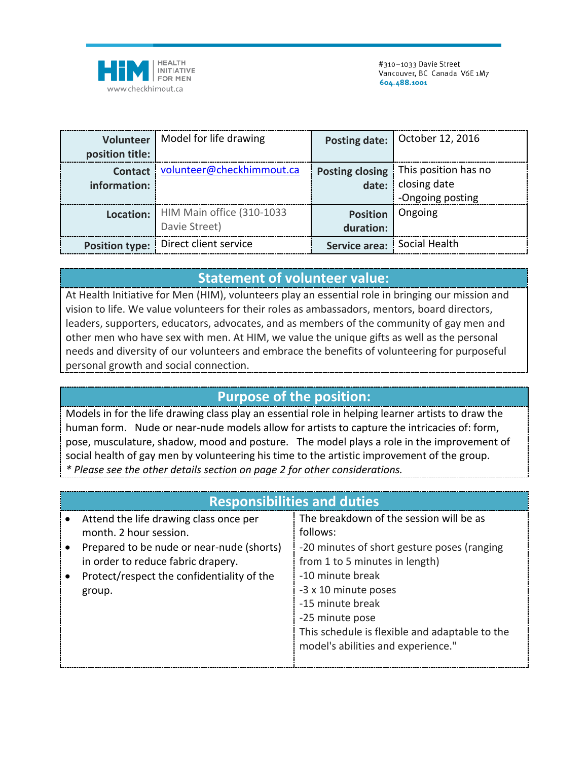

| position title:                | Volunteer   Model for life drawing                   |                              | Posting date: October 12, 2016                                 |
|--------------------------------|------------------------------------------------------|------------------------------|----------------------------------------------------------------|
| <b>Contact</b><br>information: | volunteer@checkhimmout.ca                            | Posting closing              | This position has no<br>date: closing date<br>-Ongoing posting |
|                                | Location: HIM Main office (310-1033<br>Davie Street) | <b>Position</b><br>duration: | Ongoing                                                        |
|                                | Position type:   Direct client service               | Service area: Social Health  |                                                                |

## **Statement of volunteer value:**

At Health Initiative for Men (HIM), volunteers play an essential role in bringing our mission and vision to life. We value volunteers for their roles as ambassadors, mentors, board directors, leaders, supporters, educators, advocates, and as members of the community of gay men and other men who have sex with men. At HIM, we value the unique gifts as well as the personal needs and diversity of our volunteers and embrace the benefits of volunteering for purposeful personal growth and social connection.

## **Purpose of the position:**

Models in for the life drawing class play an essential role in helping learner artists to draw the human form. Nude or near-nude models allow for artists to capture the intricacies of: form, pose, musculature, shadow, mood and posture. The model plays a role in the improvement of social health of gay men by volunteering his time to the artistic improvement of the group. *\* Please see the other details section on page 2 for other considerations.* 

| <b>Responsibilities and duties</b>         |                                                |  |  |  |
|--------------------------------------------|------------------------------------------------|--|--|--|
| Attend the life drawing class once per     | The breakdown of the session will be as        |  |  |  |
| month. 2 hour session.                     | follows:                                       |  |  |  |
| Prepared to be nude or near-nude (shorts)  | -20 minutes of short gesture poses (ranging    |  |  |  |
| in order to reduce fabric drapery.         | from 1 to 5 minutes in length)                 |  |  |  |
| Protect/respect the confidentiality of the | -10 minute break                               |  |  |  |
| group.                                     | -3 x 10 minute poses                           |  |  |  |
|                                            | -15 minute break                               |  |  |  |
|                                            | -25 minute pose                                |  |  |  |
|                                            | This schedule is flexible and adaptable to the |  |  |  |
|                                            | model's abilities and experience."             |  |  |  |
|                                            |                                                |  |  |  |